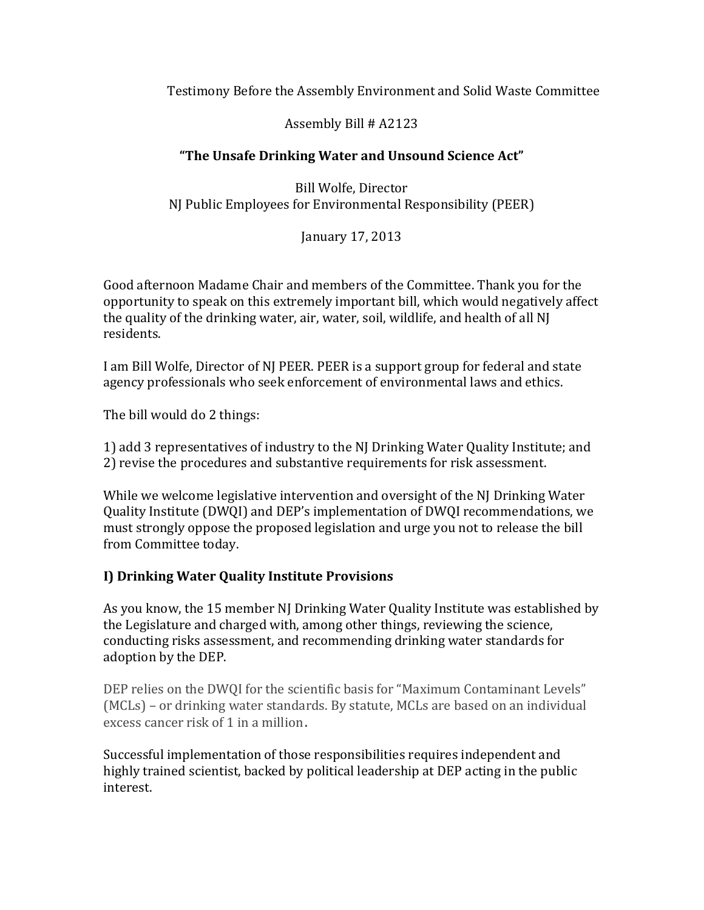## Testimony Before the Assembly Environment and Solid Waste Committee

Assembly Bill # A2123

# **"The Unsafe Drinking Water and Unsound Science Act"**

Bill Wolfe, Director NJ Public Employees for Environmental Responsibility (PEER)

January 17, 2013

Good afternoon Madame Chair and members of the Committee. Thank you for the opportunity to speak on this extremely important bill, which would negatively affect the quality of the drinking water, air, water, soil, wildlife, and health of all NJ residents.

I am Bill Wolfe, Director of NJ PEER. PEER is a support group for federal and state agency professionals who seek enforcement of environmental laws and ethics.

The bill would do 2 things:

1) add 3 representatives of industry to the NJ Drinking Water Quality Institute; and 2) revise the procedures and substantive requirements for risk assessment.

While we welcome legislative intervention and oversight of the NJ Drinking Water Quality Institute (DWQI) and DEP's implementation of DWQI recommendations, we must strongly oppose the proposed legislation and urge you not to release the bill from Committee today.

## **I) Drinking Water Quality Institute Provisions**

As you know, the 15 member NJ Drinking Water Quality Institute was established by the Legislature and charged with, among other things, reviewing the science, conducting risks assessment, and recommending drinking water standards for adoption by the DEP.

DEP relies on the DWQI for the scientific basis for "Maximum Contaminant Levels" (MCLs) – or drinking water standards. By statute, MCLs are based on an individual excess cancer risk of 1 in a million.

Successful implementation of those responsibilities requires independent and highly trained scientist, backed by political leadership at DEP acting in the public interest.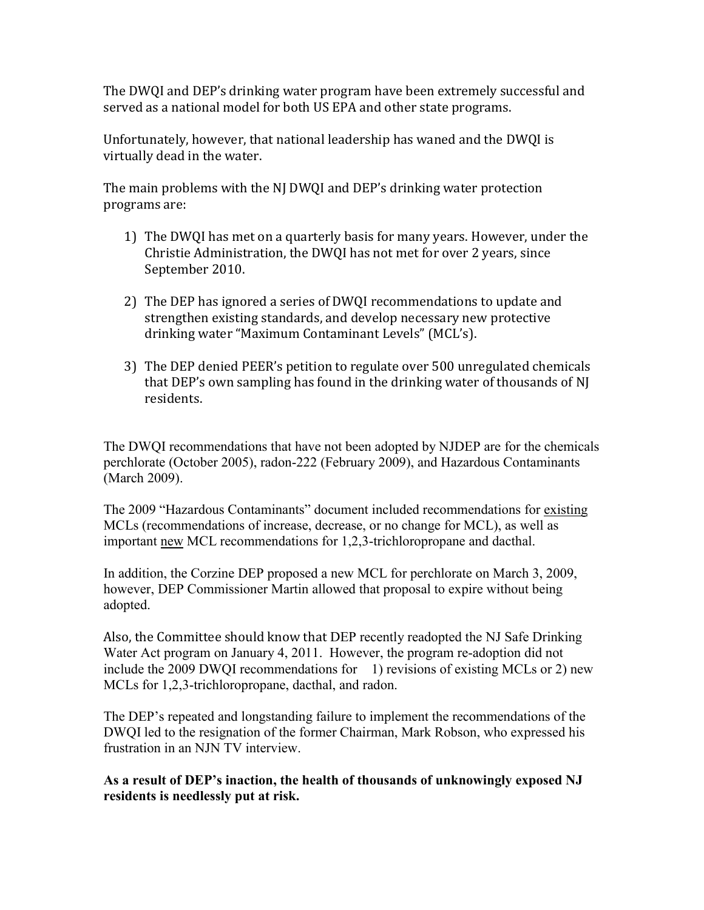The DWQI and DEP's drinking water program have been extremely successful and served as a national model for both US EPA and other state programs.

Unfortunately, however, that national leadership has waned and the DWQI is virtually dead in the water.

The main problems with the NJ DWQI and DEP's drinking water protection programs are:

- 1) The DWQI has met on a quarterly basis for many years. However, under the Christie Administration, the DWQI has not met for over 2 years, since September 2010.
- 2) The DEP has ignored a series of DWQI recommendations to update and strengthen existing standards, and develop necessary new protective drinking water "Maximum Contaminant Levels" (MCL's).
- 3) The DEP denied PEER's petition to regulate over 500 unregulated chemicals that DEP's own sampling has found in the drinking water of thousands of NJ residents.

The DWQI recommendations that have not been adopted by NJDEP are for the chemicals perchlorate (October 2005), radon-222 (February 2009), and Hazardous Contaminants (March 2009).

The 2009 "Hazardous Contaminants" document included recommendations for existing MCLs (recommendations of increase, decrease, or no change for MCL), as well as important new MCL recommendations for 1,2,3-trichloropropane and dacthal.

In addition, the Corzine DEP proposed a new MCL for perchlorate on March 3, 2009, however, DEP Commissioner Martin allowed that proposal to expire without being adopted.

Also, the Committee should know that DEP recently readopted the NJ Safe Drinking Water Act program on January 4, 2011. However, the program re-adoption did not include the 2009 DWQI recommendations for 1) revisions of existing MCLs or 2) new MCLs for 1,2,3-trichloropropane, dacthal, and radon.

The DEP's repeated and longstanding failure to implement the recommendations of the DWQI led to the resignation of the former Chairman, Mark Robson, who expressed his frustration in an NJN TV interview.

**As a result of DEP's inaction, the health of thousands of unknowingly exposed NJ residents is needlessly put at risk.**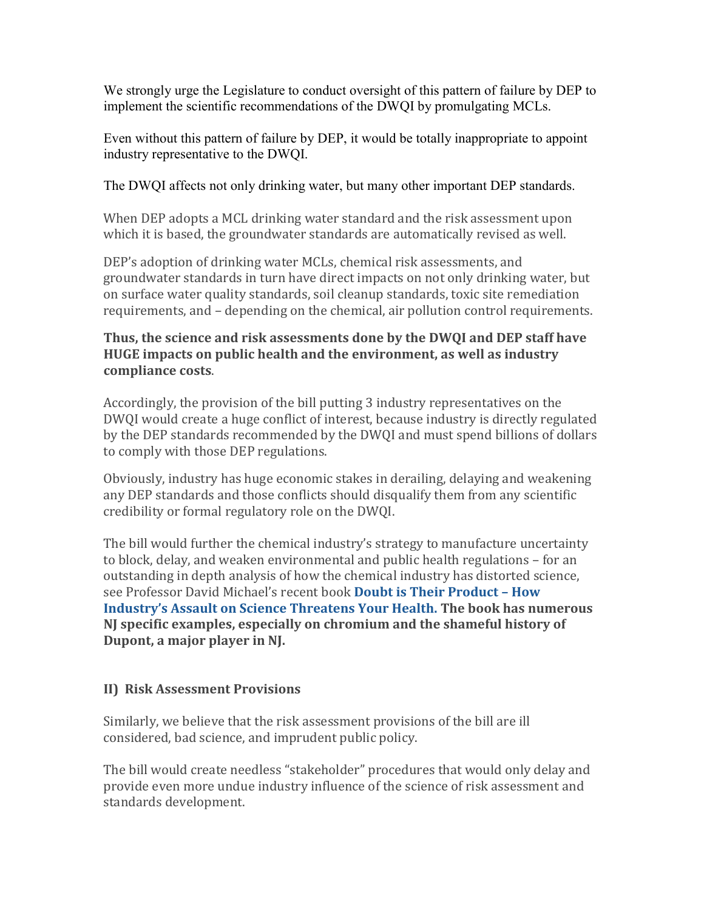We strongly urge the Legislature to conduct oversight of this pattern of failure by DEP to implement the scientific recommendations of the DWQI by promulgating MCLs.

Even without this pattern of failure by DEP, it would be totally inappropriate to appoint industry representative to the DWQI.

## The DWQI affects not only drinking water, but many other important DEP standards.

When DEP adopts a MCL drinking water standard and the risk assessment upon which it is based, the groundwater standards are automatically revised as well.

DEP's adoption of drinking water MCLs, chemical risk assessments, and groundwater standards in turn have direct impacts on not only drinking water, but on surface water quality standards, soil cleanup standards, toxic site remediation requirements, and – depending on the chemical, air pollution control requirements.

#### **Thus, the science and risk assessments done by the DWQI and DEP staff have HUGE impacts on public health and the environment, as well as industry compliance costs**.

Accordingly, the provision of the bill putting 3 industry representatives on the DWQI would create a huge conflict of interest, because industry is directly regulated by the DEP standards recommended by the DWQI and must spend billions of dollars to comply with those DEP regulations.

Obviously, industry has huge economic stakes in derailing, delaying and weakening any DEP standards and those conflicts should disqualify them from any scientific credibility or formal regulatory role on the DWQI.

The bill would further the chemical industry's strategy to manufacture uncertainty to block, delay, and weaken environmental and public health regulations – for an outstanding in depth analysis of how the chemical industry has distorted science, see Professor David Michael's recent book **[Doubt is Their Product](http://www.oup.com/us/catalog/general/subject/Medicine/PublicHealth/?view=usa&ci=9780195300673) – How [Industry's Assault on Science Threatens Your Health.](http://www.oup.com/us/catalog/general/subject/Medicine/PublicHealth/?view=usa&ci=9780195300673) The book has numerous NJ specific examples, especially on chromium and the shameful history of Dupont, a major player in NJ.**

# **II) Risk Assessment Provisions**

Similarly, we believe that the risk assessment provisions of the bill are ill considered, bad science, and imprudent public policy.

The bill would create needless "stakeholder" procedures that would only delay and provide even more undue industry influence of the science of risk assessment and standards development.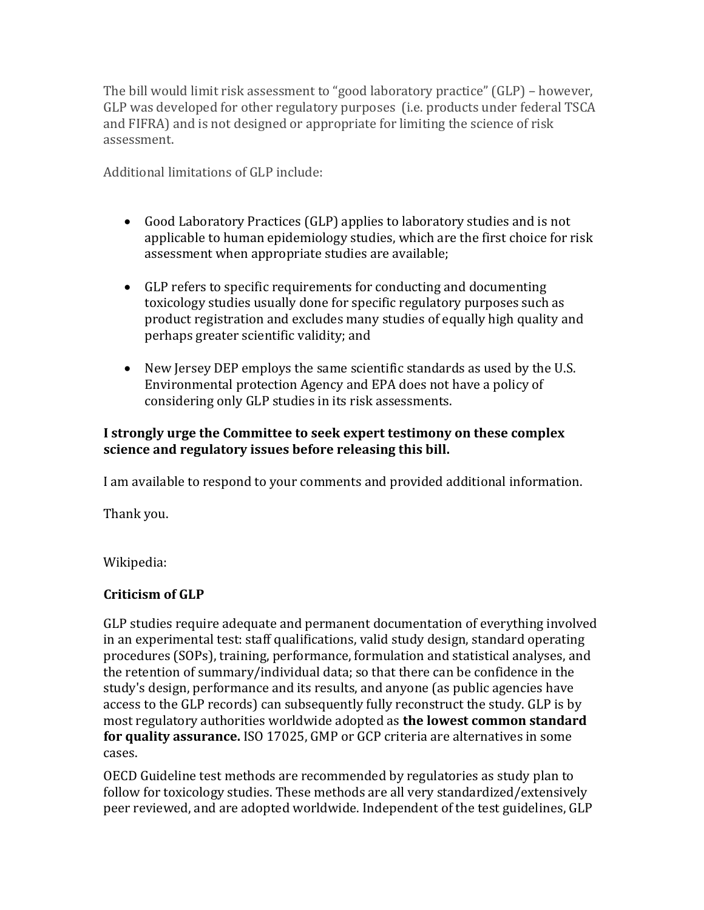The bill would limit risk assessment to "good laboratory practice" (GLP) – however, GLP was developed for other regulatory purposes (i.e. products under federal TSCA and FIFRA) and is not designed or appropriate for limiting the science of risk assessment.

Additional limitations of GLP include:

- Good Laboratory Practices (GLP) applies to laboratory studies and is not applicable to human epidemiology studies, which are the first choice for risk assessment when appropriate studies are available;
- GLP refers to specific requirements for conducting and documenting toxicology studies usually done for specific regulatory purposes such as product registration and excludes many studies of equally high quality and perhaps greater scientific validity; and
- New Jersey DEP employs the same scientific standards as used by the U.S. Environmental protection Agency and EPA does not have a policy of considering only GLP studies in its risk assessments.

## **I strongly urge the Committee to seek expert testimony on these complex science and regulatory issues before releasing this bill.**

I am available to respond to your comments and provided additional information.

Thank you.

Wikipedia:

## **Criticism of GLP**

GLP studies require adequate and permanent documentation of everything involved in an experimental test: staff qualifications, valid study design, standard operating procedures (SOPs), training, performance, formulation and statistical analyses, and the retention of summary/individual data; so that there can be confidence in the study's design, performance and its results, and anyone (as public agencies have access to the GLP records) can subsequently fully reconstruct the study. GLP is by most regulatory authorities worldwide adopted as **the lowest common standard for quality assurance.** ISO 17025, GMP or GCP criteria are alternatives in some cases.

OECD Guideline test methods are recommended by regulatories as study plan to follow for toxicology studies. These methods are all very standardized/extensively peer reviewed, and are adopted worldwide. Independent of the test guidelines, GLP